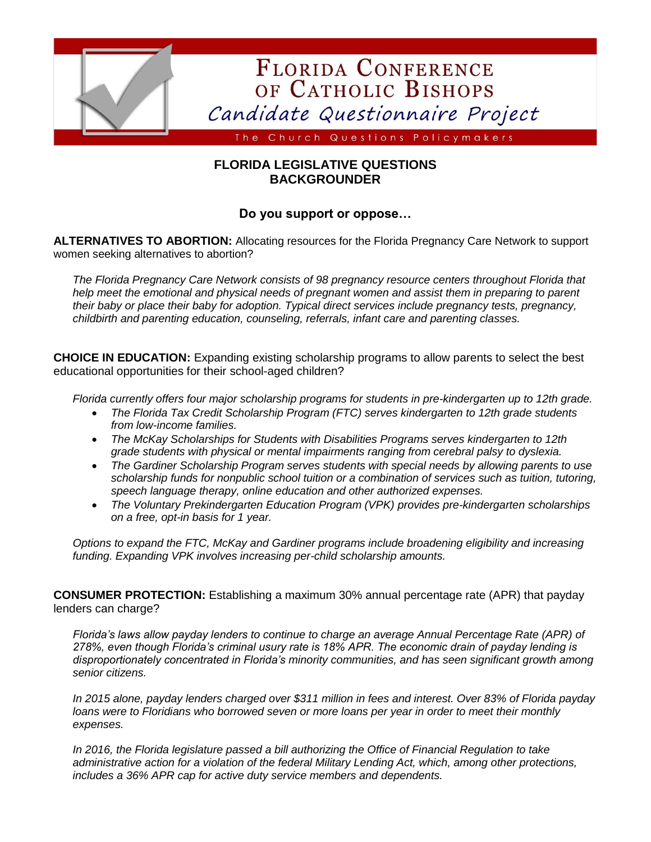

## **FLORIDA LEGISLATIVE QUESTIONS BACKGROUNDER**

## **Do you support or oppose…**

**ALTERNATIVES TO ABORTION:** Allocating resources for the Florida Pregnancy Care Network to support women seeking alternatives to abortion?

*The Florida Pregnancy Care Network consists of 98 pregnancy resource centers throughout Florida that help meet the emotional and physical needs of pregnant women and assist them in preparing to parent their baby or place their baby for adoption. Typical direct services include pregnancy tests, pregnancy, childbirth and parenting education, counseling, referrals, infant care and parenting classes.*

**CHOICE IN EDUCATION:** Expanding existing scholarship programs to allow parents to select the best educational opportunities for their school-aged children?

*Florida currently offers four major scholarship programs for students in pre-kindergarten up to 12th grade.* 

- *The Florida Tax Credit Scholarship Program (FTC) serves kindergarten to 12th grade students from low-income families.*
- *The McKay Scholarships for Students with Disabilities Programs serves kindergarten to 12th grade students with physical or mental impairments ranging from cerebral palsy to dyslexia.*
- *The Gardiner Scholarship Program serves students with special needs by allowing parents to use scholarship funds for nonpublic school tuition or a combination of services such as tuition, tutoring, speech language therapy, online education and other authorized expenses.*
- *The Voluntary Prekindergarten Education Program (VPK) provides pre-kindergarten scholarships on a free, opt-in basis for 1 year.*

*Options to expand the FTC, McKay and Gardiner programs include broadening eligibility and increasing funding. Expanding VPK involves increasing per-child scholarship amounts.*

**CONSUMER PROTECTION:** Establishing a maximum 30% annual percentage rate (APR) that payday lenders can charge?

*Florida's laws allow payday lenders to continue to charge an average Annual Percentage Rate (APR) of 278%, even though Florida's criminal usury rate is 18% APR. The economic drain of payday lending is disproportionately concentrated in Florida's minority communities, and has seen significant growth among senior citizens.*

*In 2015 alone, payday lenders charged over \$311 million in fees and interest. Over 83% of Florida payday loans were to Floridians who borrowed seven or more loans per year in order to meet their monthly expenses.*

*In 2016, the Florida legislature passed a bill authorizing the Office of Financial Regulation to take administrative action for a violation of the federal Military Lending Act, which, among other protections, includes a 36% APR cap for active duty service members and dependents.*